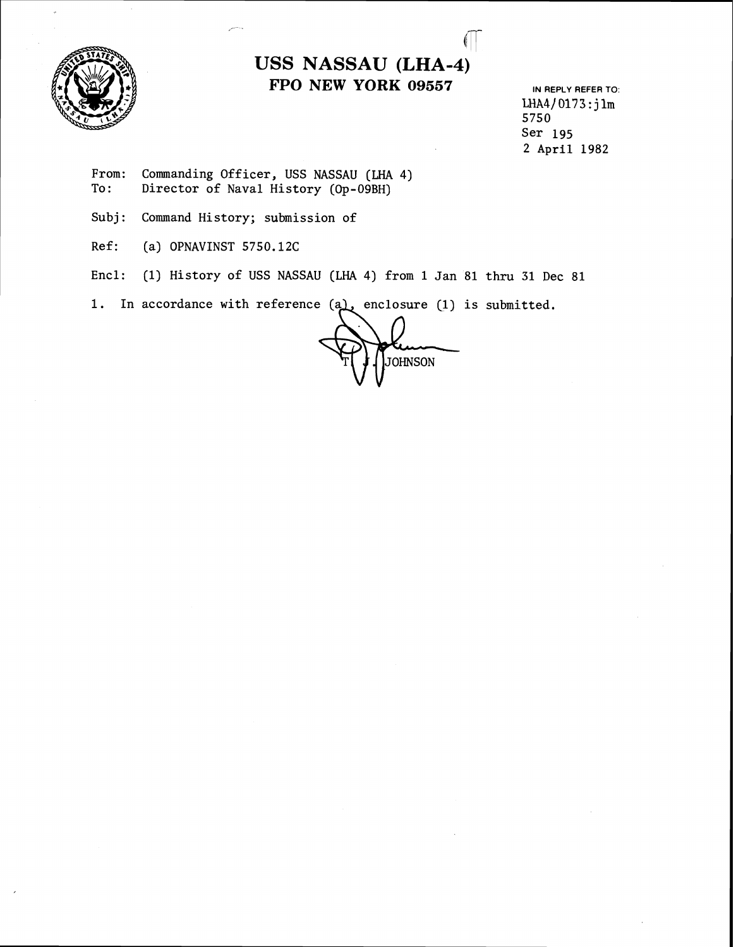

## **USS NASSAU (LHA-4) FPO NEW YORK 09557 IN REPLY REFER TO:**

**LHA4) 017 <sup>3</sup>**: j **lm 5750 Ser 195 2 April 1982** 

- From: Commanding Officer, USS NASSAU (LHA 4)<br>To: Director of Naval History (Op-09BH) **To: Director of Naval History (Op-O9BH)**
- **Subj: Command History; submission of**
- **Ref:** (a) OPNAVINST 5750.12C
- **Encl: (1) History of USS NASSAU (LHA 4) from 1 Jan 81 thru 31 Dec 81**

1. In accordance with reference (a), enclosure (1) is submitted.

**JOHNSON**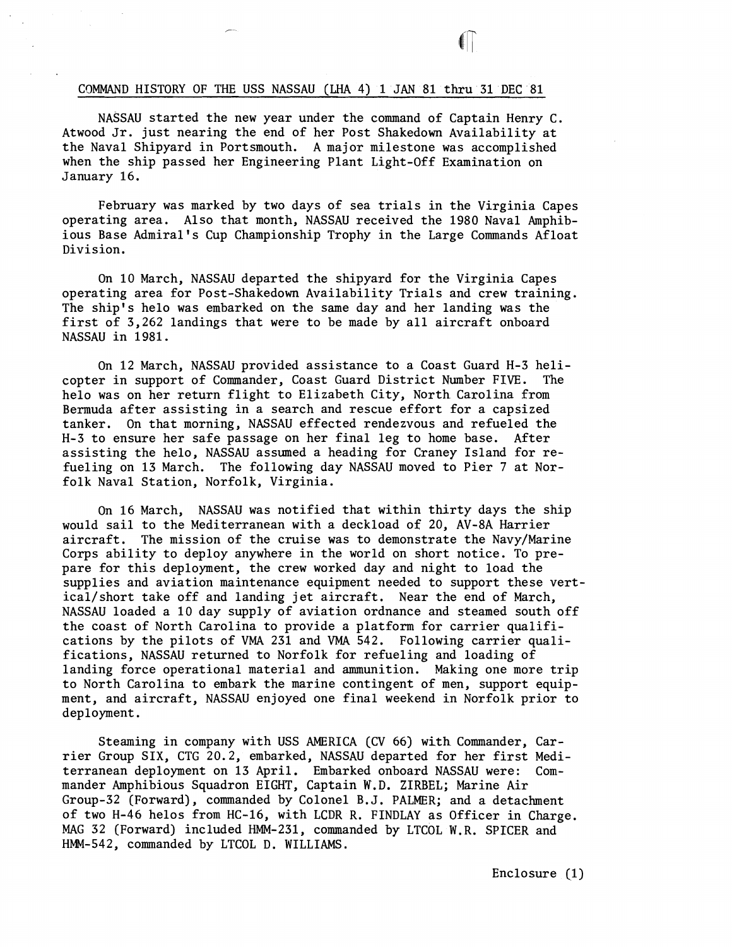## CQMMAND HISTORY OF THE USS NASSAU **(LHA** 4) 1 JAN 81 thru 31 DEC 81

NASSAU started the new year under the command of Captain Henry C. Atwood Jr. just nearing the end of her Post Shakedown Availability at the Naval Shipyard in Portsmouth. A major milestone was accomplished when the ship passed her Engineering Plant Light-Off Examination on January 16.

February was marked by two days of sea trials in the Virginia Capes operating area. Also that month, NASSAU received the 1980 Naval Amphibious Base Admiral's Cup Championship Trophy in the Large Commands Afloat Division.

On 10 March, NASSAU departed the shipyard for the Virginia Capes operating area for Post-Shakedown Availability Trials and crew training. The ship's helo was embarked on the same day and her landing was the first of 3,262 landings that were to be made by all aircraft onboard NASSAU in 1981.

On 12 March, NASSAU provided assistance to a Coast Guard H-3 helicopter in support of Commander, Coast Guard District Number FIVE. The helo was on her return flight to Elizabeth City, North Carolina from Bermuda after assisting in a search and rescue effort for a capsized tanker. On that morning, NASSAU effected rendezvous and refueled the H-3 to ensure her safe passage on her final leg to home base. After assisting the helo, NASSAU assumed a heading for Craney Island for refueling on 13 March. The following day NASSAU moved to Pier 7 at Norfolk Naval Station, Norfolk, Virginia.

On 16 March, NASSAU was notified that within thirty days the ship would sail to the Mediterranean with a deckload of 20, AV-8A Harrier aircraft. The mission of the cruise was to demonstrate the Navy/Marine Corps ability to deploy anywhere in the world on short notice. To prepare for this deployment, the crew worked day and night to load the supplies and aviation maintenance equipment needed to support these vertical/short take off and landing jet aircraft. Near the end of March, NASSAU loaded a 10 day supply of aviation ordnance and steamed south off the coast of North Carolina to provide a platform for carrier qualifications by the pilots of **VMA** 231 and **VMA** 542. Following carrier qualifications, NASSAU returned to Norfolk for refueling and loading of landing force operational material and ammunition. Making one more trip to North Carolina to embark the marine contingent of men, support equipment, and aircraft, NASSAU enjoyed one final weekend in Norfolk prior to deployment.

Steaming in company with USS AMERICA (CV 66) with Commander, Carrier Group SIX, CTG 20.2, embarked, NASSAU departed for her first Mediterranean deployment on 13 April. Embarked onboard NASSAU were: Commander Amphibious Squadron EIGHT, Captain W.D. **ZIRBEL;** Marine Air Group-32 (Forward), commanded by Colonel B.J. PALMER; and a detachment of two H-46 helos from HC-16, with LCDR R. FINDLAY as Officer in Charge. MAG 32 (Forward) included HMM-231, commanded by LTCOL W.R. SPrCER and HMM-542, commanded by LTCOL D. WILLIAMS.

Enclosure (1)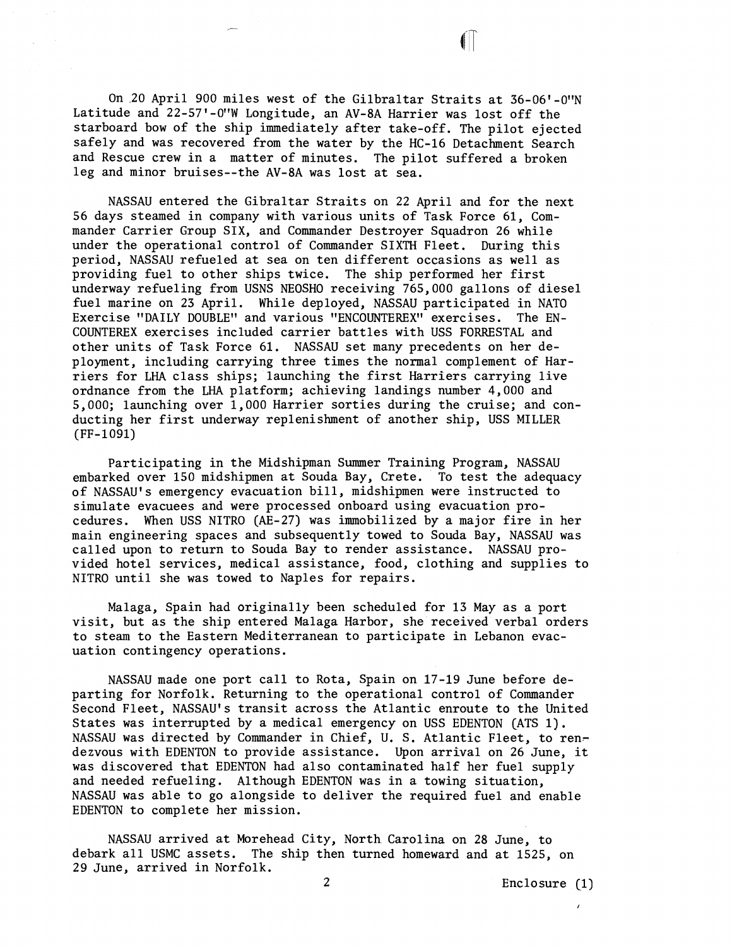On ,20 April 900 miles west of the Gilbraltar Straits at 36-06'-OWN Latitude and 22-57'-O'W Longitude, an AV-8A Harrier was lost off the starboard bow of the ship immediately after take-off. The pilot ejected safely and was recovered from the water by the HC-16 Detachment Search and Rescue crew in a matter of minutes. The pilot suffered a broken leg and minor bruises--the AV-8A was lost at sea.

NASSAU entered the Gibraltar Straits on 22 April and for the next 56 days steamed in company with various units of Task Force 61, Commander Carrier Group SIX, and Commander Destroyer Squadron 26 while under the operational control of Commander SIXTH Fleet. During this period, NASSAU refueled at sea on ten different occasions as well as providing fuel to other ships twice. The ship performed her first underway refueling from USNS NEOSHO receiving 765,000 gallons of diesel fuel marine on 23 April. While deployed, NASSAU participated in NATO Exercise "DAILY DOUBLE" and various "ENCOUNTEREX" exercises. The EN-COUNTEREX exercises included carrier battles with USS FORRESTAL and other units of Task Force 61. NASSAU set many precedents on her deployment, including carrying three times the normal complement of Harriers for LHA class ships; launching the first Harriers carrying live ordnance from the LHA platform; achieving landings number 4,000 and 5,000; launching over 1,000 Harrier sorties during the cruise; and conducting her first underway replenishment of another ship, USS MILLER (FF-1091)

Participating in the Midshipman Summer Training Program, NASSAU embarked over 150 midshipmen at Souda Bay, Crete. To test the adequacy of NASSAU'S emergency evacuation bill, midshipmen were instructed to simulate evacuees and were processed onboard using evacuation procedures. When USS NITRO (AE-27) was immobilized by a major fire in her main engineering spaces and subsequently towed to Souda Bay, NASSAU was called upon to return to Souda Bay to render assistance. NASSAU provided hotel services, medical assistance, food, clothing and supplies to NITRO until she was towed to Naples for repairs.

Malaga, Spain had originally been scheduled for **13** May as a port visit, but as the ship entered Malaga Harbor, she received verbal orders to steam to the Eastern Mediterranean to participate in Lebanon evacuation contingency operations.

NASSAU made one port call to Rota, Spain on 17-19 June before departing for Norfolk. Returning to the operational control of Commander Second Fleet, NASSAU'S transit across the Atlantic enroute to the United States was interrupted by a medical emergency on USS EDENTON CATS 1). NASSAU was directed by Commander in Chief, U. S. Atlantic Fleet, to rendezvous with EDENTON to provide assistance. Upon arrival on 26 June, it was discovered that EDENTON had also contaminated half her fuel supply and needed refueling. Although EDENTON was in a towing situation, NASSAU was able to go alongside to deliver the required fuel and enable EDENTON to complete her mission.

NASSAU arrived at Morehead City, North Carolina on 28 June, to debark all USMC assets. The ship then turned homeward and at 1525, on 29 June, arrived in Norfolk.

2 Enclosure **(1)**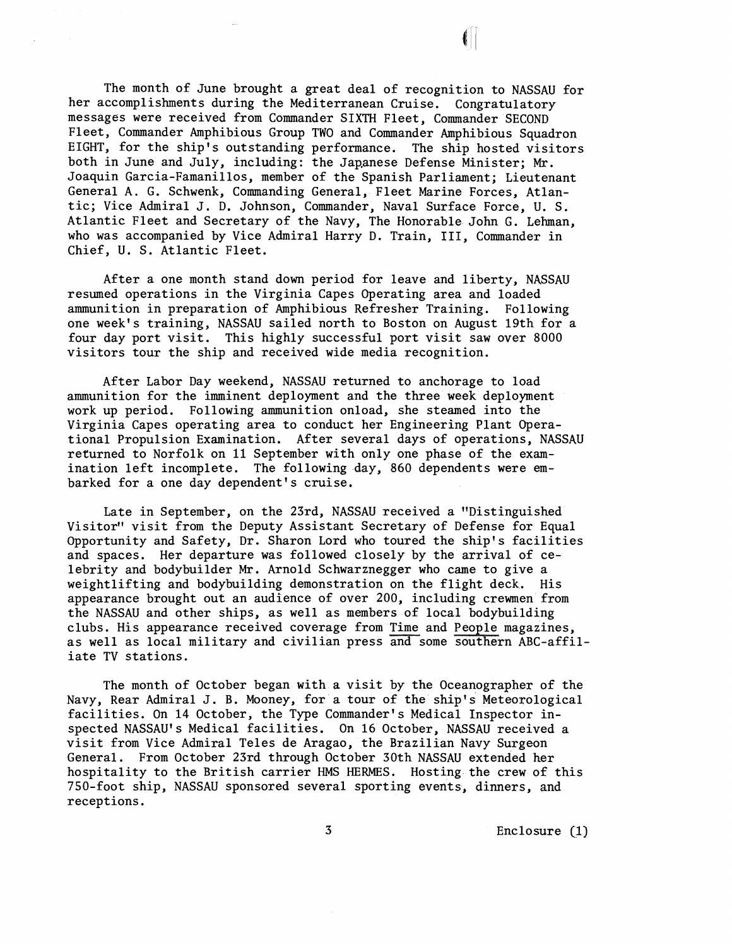The month of June brought a great deal of recognition to NASSAU for her accomplishments during the Mediterranean Cruise. Congratulatory messages were received from Commander SIXTH Fleet, Commander SECOND Fleet, Commander Amphibious Group TWO and Commander Amphibious Squadron EIGHT, for the ship's outstanding performance. The ship hosted visitors both in June and July, including: the Japanese Defense Minister; Mr. Joaquin Garcia-Famanillos, member of the Spanish Parliament; Lieutenant General A. G. Schwenk, Commanding General, Fleet Marine Forces, Atlantic; Vice Admiral J. D. Johnson, Commander, Naval Surface Force, U. S. Atlantic Fleet and Secretary of the Navy, The Honorable John G. Lehman, who was accompanied by Vice Admiral Harry D. Train, 111, Commander in Chief, U. S. Atlantic Fleet.

After a one month stand down period for leave and liberty, NASSAU resumed operations in the Virginia Capes Operating area and loaded ammunition in preparation of Amphibious Refresher Training. Following one week's training, NASSAU sailed north to Boston on August 19th for a four day port visit. This highly successful port visit saw over 8000 visitors tour the ship and received wide media recognition.

After Labor Day weekend, NASSAU returned to anchorage to load ammunition for the imminent deployment and the three week deployment work up period. Following ammunition onload, she steamed into the Virginia Capes operating area to conduct her Engineering Plant Operational Propulsion Examination. After several days of operations, NASSAU returned to Norfolk on 11 September with only one phase of the examination left incomplete. The following day, 860 dependents were embarked for a one day dependent's cruise.

Late in September, on the 23rd, NASSAU received a "Distinguished Visitor" visit from the Deputy Assistant Secretary of Defense for Equal Opportunity and Safety, Dr. Sharon Lord who toured the ship's facilities and spaces. Her departure was followed closely by the arrival of celebrity and bodybuilder Mr. Arnold Schwarznegger who came to give a weightlifting and bodybuilding demonstration on the flight deck. His appearance brought out an audience of over 200, including crewmen from the NASSAU and other ships, as well as members of local bodybuilding clubs. His appearance received coverage from Time and People magazines, as well as local military and civilian press and some southern ABC-affiliate TV stations.

The month of October began with a visit by the Oceanographer of the Navy, Rear Admiral J. B. Mooney, for a tour of the ship's Meteorological facilities. On 14 October, the Type Commander's Medical Inspector inspected NASSAU'S Medical facilities. On 16 October, NASSAU received a visit from Vice Admiral Teles de Aragao, the Brazilian Navy Surgeon General. From October 23rd through October 30th NASSAU extended her hospitality to the British carrier HMS HERMES. Hosting the crew of this 750-foot ship, NASSAU sponsored several sporting events, dinners, and receptions.

**3** Enclosure **cl)**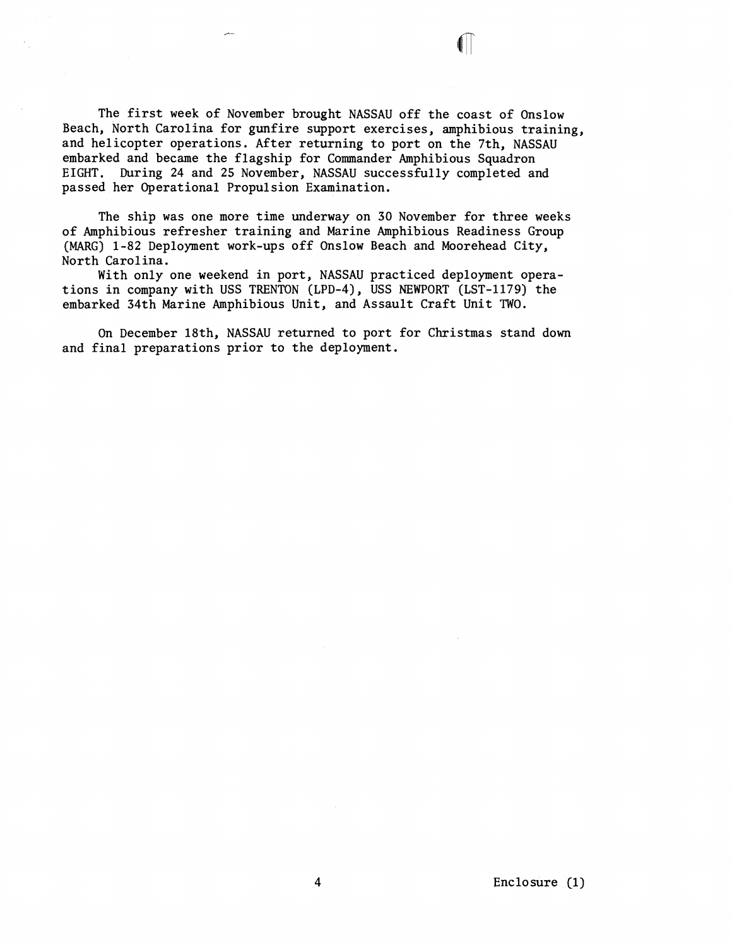The first week of November brought NASSAU off the coast of Onslow Beach, North Carolina for gunfire support exercises, amphibious training, and helicopter operations. After returning to port on the 7th, NASSAU embarked and became the flagship for Commander Amphibious Squadron EIGHT. During 24 and 25 November, NASSAU successfully completed and passed her Operational Propulsion Examination.

The ship was one more time underway on 30 November for three weeks of Amphibious refresher training and Marine Amphibious Readiness Group (MARG) 1-82 Deployment work-ups off Onslow Beach and Moorehead City, North Carolina.

With only one weekend in port, NASSAU practiced deployment operations in company with USS TRENTON (LPD-4), USS NEWPORT (LST-1179) the embarked 34th Marine Amphibious Unit, and Assault Craft Unit TWO.

On December 18th, NASSAU returned to port for Christmas stand down and final preparations prior to the deployment.

Enclosure (1)